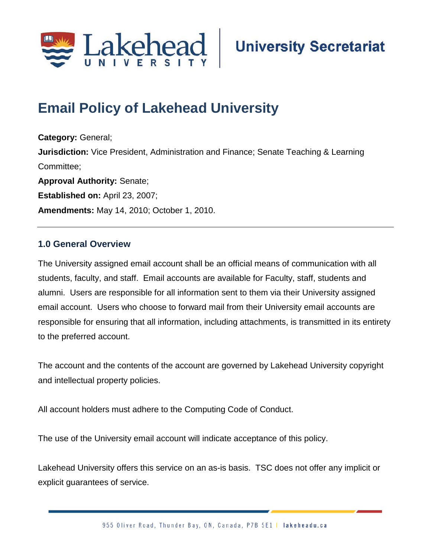

# **Email Policy of Lakehead University;**

**Category:** General; **Jurisdiction:** Vice President, Administration and Finance; Senate Teaching & Learning Committee; **Approval Authority:** Senate; **Established on:** April 23, 2007; **Amendments:** May 14, 2010; October 1, 2010.

#### **1.0 General Overview**

The University assigned email account shall be an official means of communication with all students, faculty, and staff. Email accounts are available for Faculty, staff, students and alumni. Users are responsible for all information sent to them via their University assigned email account. Users who choose to forward mail from their University email accounts are responsible for ensuring that all information, including attachments, is transmitted in its entirety to the preferred account.

The account and the contents of the account are governed by Lakehead University copyright and intellectual property policies.

All account holders must adhere to the Computing Code of Conduct.

The use of the University email account will indicate acceptance of this policy.

Lakehead University offers this service on an as-is basis. TSC does not offer any implicit or explicit guarantees of service.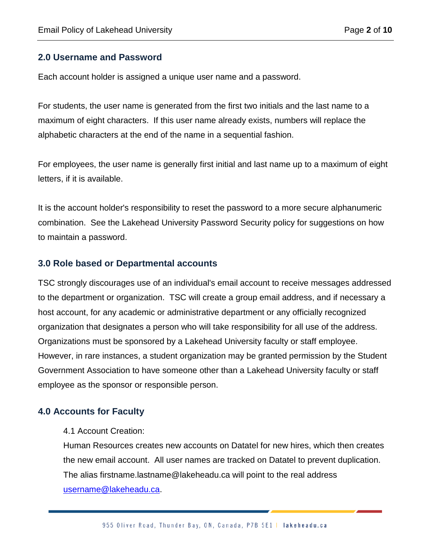#### **2.0 Username and Password**

Each account holder is assigned a unique user name and a password.

For students, the user name is generated from the first two initials and the last name to a maximum of eight characters. If this user name already exists, numbers will replace the alphabetic characters at the end of the name in a sequential fashion.

For employees, the user name is generally first initial and last name up to a maximum of eight letters, if it is available.

It is the account holder's responsibility to reset the password to a more secure alphanumeric combination. See the Lakehead University Password Security policy for suggestions on how to maintain a password.

#### **3.0 Role based or Departmental accounts**

TSC strongly discourages use of an individual's email account to receive messages addressed to the department or organization. TSC will create a group email address, and if necessary a host account, for any academic or administrative department or any officially recognized organization that designates a person who will take responsibility for all use of the address. Organizations must be sponsored by a Lakehead University faculty or staff employee. However, in rare instances, a student organization may be granted permission by the Student Government Association to have someone other than a Lakehead University faculty or staff employee as the sponsor or responsible person.

#### **4.0 Accounts for Faculty**

#### 4.1 Account Creation:

Human Resources creates new accounts on Datatel for new hires, which then creates the new email account. All user names are tracked on Datatel to prevent duplication. The alias firstname.lastname@lakeheadu.ca will point to the real address [username@lakeheadu.ca.](mailto:username@lakeheadu.ca)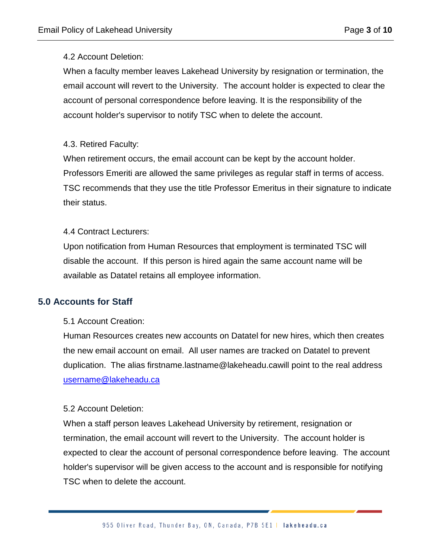#### 4.2 Account Deletion:

When a faculty member leaves Lakehead University by resignation or termination, the email account will revert to the University. The account holder is expected to clear the account of personal correspondence before leaving. It is the responsibility of the account holder's supervisor to notify TSC when to delete the account.

# 4.3. Retired Faculty:

When retirement occurs, the email account can be kept by the account holder. Professors Emeriti are allowed the same privileges as regular staff in terms of access. TSC recommends that they use the title Professor Emeritus in their signature to indicate their status.

#### 4.4 Contract Lecturers:

Upon notification from Human Resources that employment is terminated TSC will disable the account. If this person is hired again the same account name will be available as Datatel retains all employee information.

# **5.0 Accounts for Staff**

# 5.1 Account Creation:

Human Resources creates new accounts on Datatel for new hires, which then creates the new email account on email. All user names are tracked on Datatel to prevent duplication. The alias firstname.lastname@lakeheadu.cawill point to the real address [username@lakeheadu.ca](mailto:username@lakeheadu.ca)

# 5.2 Account Deletion:

When a staff person leaves Lakehead University by retirement, resignation or termination, the email account will revert to the University. The account holder is expected to clear the account of personal correspondence before leaving. The account holder's supervisor will be given access to the account and is responsible for notifying TSC when to delete the account.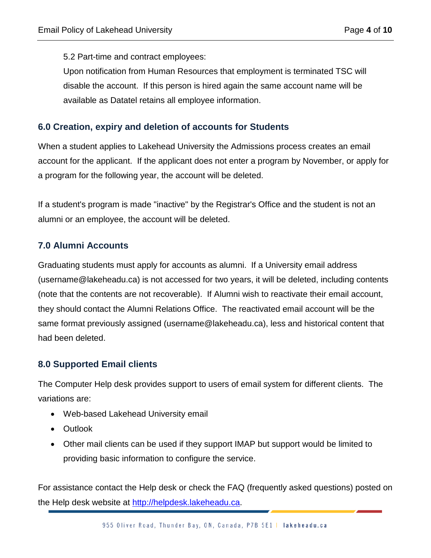5.2 Part-time and contract employees:

Upon notification from Human Resources that employment is terminated TSC will disable the account. If this person is hired again the same account name will be available as Datatel retains all employee information.

#### **6.0 Creation, expiry and deletion of accounts for Students**

When a student applies to Lakehead University the Admissions process creates an email account for the applicant. If the applicant does not enter a program by November, or apply for a program for the following year, the account will be deleted.

If a student's program is made "inactive" by the Registrar's Office and the student is not an alumni or an employee, the account will be deleted.

# **7.0 Alumni Accounts**

Graduating students must apply for accounts as alumni. If a University email address (username@lakeheadu.ca) is not accessed for two years, it will be deleted, including contents (note that the contents are not recoverable). If Alumni wish to reactivate their email account, they should contact the Alumni Relations Office. The reactivated email account will be the same format previously assigned (username@lakeheadu.ca), less and historical content that had been deleted.

# **8.0 Supported Email clients**

The Computer Help desk provides support to users of email system for different clients. The variations are:

- Web-based Lakehead University email
- Outlook
- Other mail clients can be used if they support IMAP but support would be limited to providing basic information to configure the service.

For assistance contact the Help desk or check the FAQ (frequently asked questions) posted on the Help desk website at [http://helpdesk.lakeheadu.ca.](http://helpdesk.lakeheadu.ca/)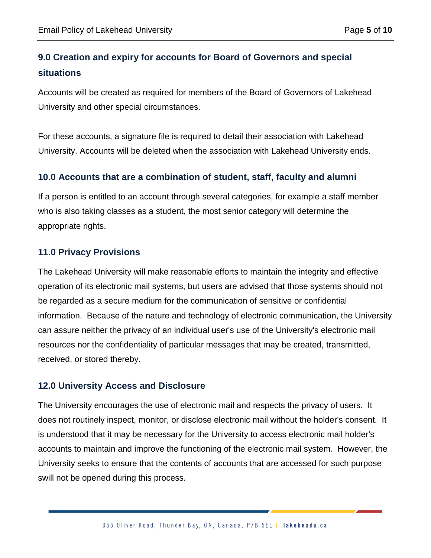# **9.0 Creation and expiry for accounts for Board of Governors and special situations**

Accounts will be created as required for members of the Board of Governors of Lakehead University and other special circumstances.

For these accounts, a signature file is required to detail their association with Lakehead University. Accounts will be deleted when the association with Lakehead University ends.

# **10.0 Accounts that are a combination of student, staff, faculty and alumni**

If a person is entitled to an account through several categories, for example a staff member who is also taking classes as a student, the most senior category will determine the appropriate rights.

#### **11.0 Privacy Provisions**

The Lakehead University will make reasonable efforts to maintain the integrity and effective operation of its electronic mail systems, but users are advised that those systems should not be regarded as a secure medium for the communication of sensitive or confidential information. Because of the nature and technology of electronic communication, the University can assure neither the privacy of an individual user's use of the University's electronic mail resources nor the confidentiality of particular messages that may be created, transmitted, received, or stored thereby.

# **12.0 University Access and Disclosure**

The University encourages the use of electronic mail and respects the privacy of users. It does not routinely inspect, monitor, or disclose electronic mail without the holder's consent. It is understood that it may be necessary for the University to access electronic mail holder's accounts to maintain and improve the functioning of the electronic mail system. However, the University seeks to ensure that the contents of accounts that are accessed for such purpose swill not be opened during this process.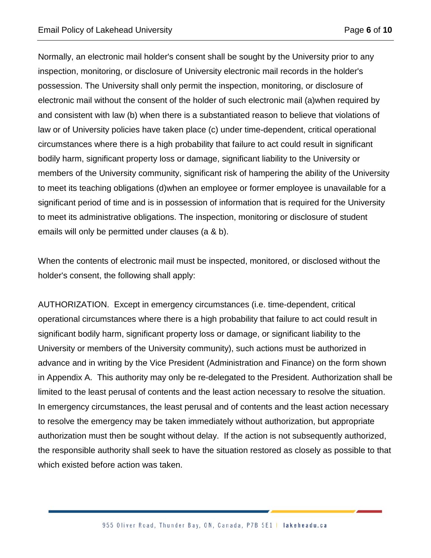Normally, an electronic mail holder's consent shall be sought by the University prior to any inspection, monitoring, or disclosure of University electronic mail records in the holder's possession. The University shall only permit the inspection, monitoring, or disclosure of electronic mail without the consent of the holder of such electronic mail (a)when required by and consistent with law (b) when there is a substantiated reason to believe that violations of law or of University policies have taken place (c) under time-dependent, critical operational circumstances where there is a high probability that failure to act could result in significant bodily harm, significant property loss or damage, significant liability to the University or members of the University community, significant risk of hampering the ability of the University to meet its teaching obligations (d)when an employee or former employee is unavailable for a significant period of time and is in possession of information that is required for the University to meet its administrative obligations. The inspection, monitoring or disclosure of student emails will only be permitted under clauses (a & b).

When the contents of electronic mail must be inspected, monitored, or disclosed without the holder's consent, the following shall apply:

AUTHORIZATION. Except in emergency circumstances (i.e. time-dependent, critical operational circumstances where there is a high probability that failure to act could result in significant bodily harm, significant property loss or damage, or significant liability to the University or members of the University community), such actions must be authorized in advance and in writing by the Vice President (Administration and Finance) on the form shown in Appendix A. This authority may only be re-delegated to the President. Authorization shall be limited to the least perusal of contents and the least action necessary to resolve the situation. In emergency circumstances, the least perusal and of contents and the least action necessary to resolve the emergency may be taken immediately without authorization, but appropriate authorization must then be sought without delay. If the action is not subsequently authorized, the responsible authority shall seek to have the situation restored as closely as possible to that which existed before action was taken.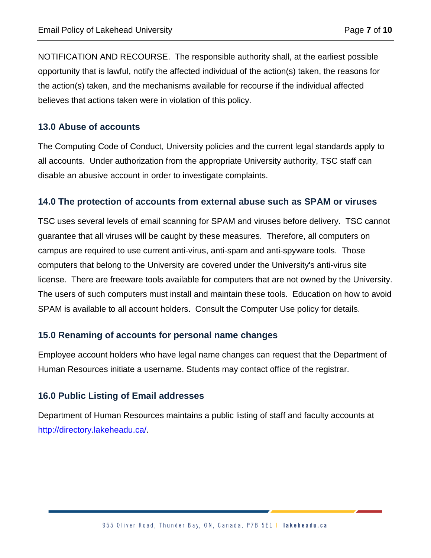NOTIFICATION AND RECOURSE. The responsible authority shall, at the earliest possible opportunity that is lawful, notify the affected individual of the action(s) taken, the reasons for the action(s) taken, and the mechanisms available for recourse if the individual affected believes that actions taken were in violation of this policy.

#### **13.0 Abuse of accounts**

The Computing Code of Conduct, University policies and the current legal standards apply to all accounts. Under authorization from the appropriate University authority, TSC staff can disable an abusive account in order to investigate complaints.

#### **14.0 The protection of accounts from external abuse such as SPAM or viruses**

TSC uses several levels of email scanning for SPAM and viruses before delivery. TSC cannot guarantee that all viruses will be caught by these measures. Therefore, all computers on campus are required to use current anti-virus, anti-spam and anti-spyware tools. Those computers that belong to the University are covered under the University's anti-virus site license. There are freeware tools available for computers that are not owned by the University. The users of such computers must install and maintain these tools. Education on how to avoid SPAM is available to all account holders. Consult the Computer Use policy for details.

#### **15.0 Renaming of accounts for personal name changes**

Employee account holders who have legal name changes can request that the Department of Human Resources initiate a username. Students may contact office of the registrar.

#### **16.0 Public Listing of Email addresses**

Department of Human Resources maintains a public listing of staff and faculty accounts at [http://directory.lakeheadu.ca/.](http://directory.lakeheadu.ca/)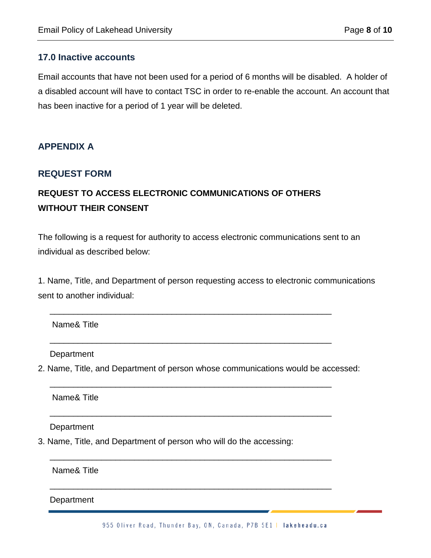#### **17.0 Inactive accounts**

Email accounts that have not been used for a period of 6 months will be disabled. A holder of a disabled account will have to contact TSC in order to re-enable the account. An account that has been inactive for a period of 1 year will be deleted.

# **APPENDIX A**

# **REQUEST FORM**

# **REQUEST TO ACCESS ELECTRONIC COMMUNICATIONS OF OTHERS WITHOUT THEIR CONSENT**

The following is a request for authority to access electronic communications sent to an individual as described below:

1. Name, Title, and Department of person requesting access to electronic communications sent to another individual:

Name& Title

**Department** 

2. Name, Title, and Department of person whose communications would be accessed:

\_\_\_\_\_\_\_\_\_\_\_\_\_\_\_\_\_\_\_\_\_\_\_\_\_\_\_\_\_\_\_\_\_\_\_\_\_\_\_\_\_\_\_\_\_\_\_\_\_\_\_\_\_\_\_\_\_\_\_\_

\_\_\_\_\_\_\_\_\_\_\_\_\_\_\_\_\_\_\_\_\_\_\_\_\_\_\_\_\_\_\_\_\_\_\_\_\_\_\_\_\_\_\_\_\_\_\_\_\_\_\_\_\_\_\_\_\_\_\_\_

\_\_\_\_\_\_\_\_\_\_\_\_\_\_\_\_\_\_\_\_\_\_\_\_\_\_\_\_\_\_\_\_\_\_\_\_\_\_\_\_\_\_\_\_\_\_\_\_\_\_\_\_\_\_\_\_\_\_\_\_

 $\overline{\phantom{a}}$  , and the contract of the contract of the contract of the contract of the contract of the contract of the contract of the contract of the contract of the contract of the contract of the contract of the contrac

\_\_\_\_\_\_\_\_\_\_\_\_\_\_\_\_\_\_\_\_\_\_\_\_\_\_\_\_\_\_\_\_\_\_\_\_\_\_\_\_\_\_\_\_\_\_\_\_\_\_\_\_\_\_\_\_\_\_\_\_

\_\_\_\_\_\_\_\_\_\_\_\_\_\_\_\_\_\_\_\_\_\_\_\_\_\_\_\_\_\_\_\_\_\_\_\_\_\_\_\_\_\_\_\_\_\_\_\_\_\_\_\_\_\_\_\_\_\_\_\_

Name& Title

**Department** 

3. Name, Title, and Department of person who will do the accessing:

Name& Title

**Department**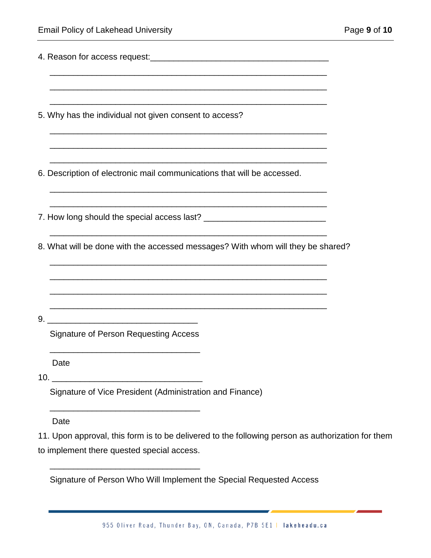| 5. Why has the individual not given consent to access?                                                                                          |  |
|-------------------------------------------------------------------------------------------------------------------------------------------------|--|
| <u> 1989 - Johann Stoff, amerikansk politiker (d. 1989)</u><br>6. Description of electronic mail communications that will be accessed.          |  |
|                                                                                                                                                 |  |
| 8. What will be done with the accessed messages? With whom will they be shared?                                                                 |  |
| 9.                                                                                                                                              |  |
| <b>Signature of Person Requesting Access</b>                                                                                                    |  |
| Date<br>10.                                                                                                                                     |  |
| Signature of Vice President (Administration and Finance)                                                                                        |  |
| Date                                                                                                                                            |  |
| 11. Upon approval, this form is to be delivered to the following person as authorization for them<br>to implement there quested special access. |  |

Signature of Person Who Will Implement the Special Requested Access

\_\_\_\_\_\_\_\_\_\_\_\_\_\_\_\_\_\_\_\_\_\_\_\_\_\_\_\_\_\_\_\_